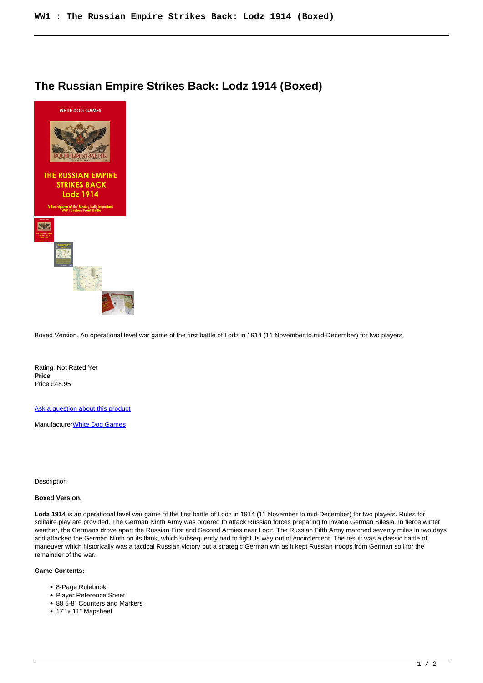## **The Russian Empire Strikes Back: Lodz 1914 (Boxed)**



Boxed Version. An operational level war game of the first battle of Lodz in 1914 (11 November to mid-December) for two players.

Rating: Not Rated Yet **Price**  Price £48.95

[Ask a question about this product](https://www.secondchancegames.com/index.php?option=com_virtuemart&view=productdetails&task=askquestion&virtuemart_product_id=10976&virtuemart_category_id=6&tmpl=component)

Manufacturer[White Dog Games](https://www.secondchancegames.com/index.php?option=com_virtuemart&view=manufacturer&virtuemart_manufacturer_id=3059&tmpl=component)

Description

## **Boxed Version.**

**Lodz 1914** is an operational level war game of the first battle of Lodz in 1914 (11 November to mid-December) for two players. Rules for solitaire play are provided. The German Ninth Army was ordered to attack Russian forces preparing to invade German Silesia. In fierce winter weather, the Germans drove apart the Russian First and Second Armies near Lodz. The Russian Fifth Army marched seventy miles in two days and attacked the German Ninth on its flank, which subsequently had to fight its way out of encirclement. The result was a classic battle of maneuver which historically was a tactical Russian victory but a strategic German win as it kept Russian troops from German soil for the remainder of the war.

## **Game Contents:**

- 8-Page Rulebook
- Player Reference Sheet
- 88 5-8" Counters and Markers
- 17" x 11" Mapsheet